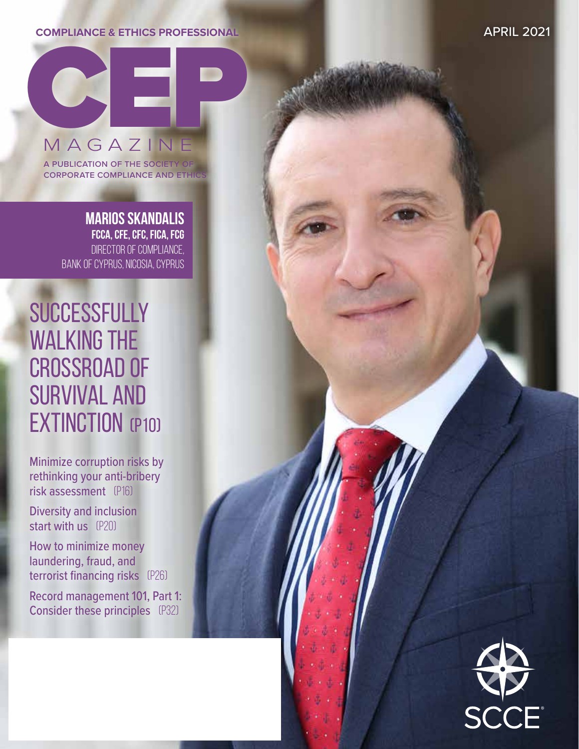## **COMPLIANCE & ETHICS PROFESSIONAL**

APRIL 2021



a publication of the society of **CORPORATE COMPLIANCE AND ETHI** 

> **MARIOS SKANDALIS FCCA, CFE, CFC, FICA, FCG** DIRECTOR OF COMPLIANCE, BANK OF CYPRUS, NICOSIA, CYPRUS

# **SUCCESSFULLY** WALKING THE crossroad of survival and **EXTINCTION (P10)**

Minimize corruption risks by rethinking your anti-bribery risk assessment (p16)

Diversity and inclusion start with us (P20)

How to minimize money laundering, fraud, and terrorist financing risks (p26)

Record management 101, Part 1: Consider these principles (P32)

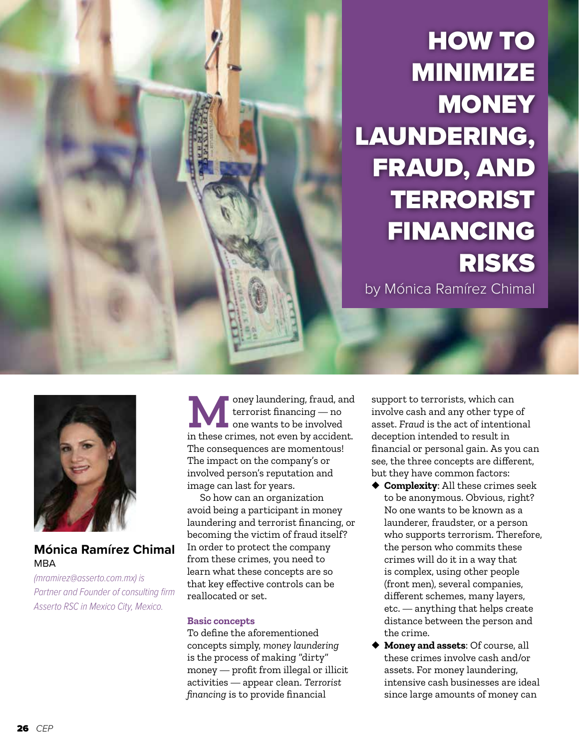

HOW TO MINIMIZE **MONEY** LAUNDERING, FRAUD, AND TERRORIST FINANCING RISKS by Mónica Ramírez Chimal



## **Mónica Ramírez Chimal** MBA

*(mramirez@asserto.com.mx) is Partner and Founder of consulting firm Asserto RSC in Mexico City, Mexico.*

**M**oney laundering, fraud, and terrorist financing — no one wants to be involved in these crimes, not even by accident. The consequences are momentous! The impact on the company's or involved person's reputation and image can last for years.

So how can an organization avoid being a participant in money laundering and terrorist financing, or becoming the victim of fraud itself? In order to protect the company from these crimes, you need to learn what these concepts are so that key effective controls can be reallocated or set.

#### **Basic concepts**

To define the aforementioned concepts simply, *money laundering* is the process of making "dirty" money — profit from illegal or illicit activities — appear clean. *Terrorist financing* is to provide financial

support to terrorists, which can involve cash and any other type of asset. *Fraud* is the act of intentional deception intended to result in financial or personal gain. As you can see, the three concepts are different, but they have common factors:

- ◆ **Complexity**: All these crimes seek to be anonymous. Obvious, right? No one wants to be known as a launderer, fraudster, or a person who supports terrorism. Therefore, the person who commits these crimes will do it in a way that is complex, using other people (front men), several companies, different schemes, many layers, etc. — anything that helps create distance between the person and the crime.
- ◆ **Money and assets**: Of course, all these crimes involve cash and/or assets. For money laundering, intensive cash businesses are ideal since large amounts of money can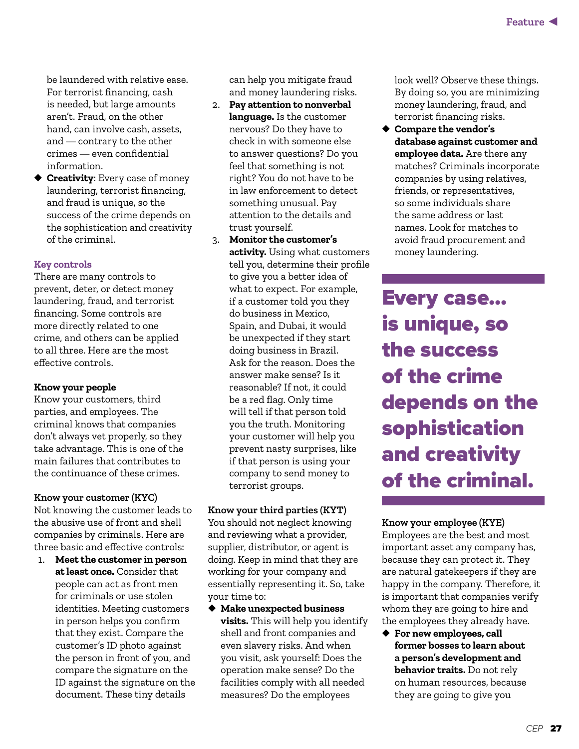be laundered with relative ease. For terrorist financing, cash is needed, but large amounts aren't. Fraud, on the other hand, can involve cash, assets, and — contrary to the other crimes — even confidential information.

◆ **Creativity**: Every case of money laundering, terrorist financing, and fraud is unique, so the success of the crime depends on the sophistication and creativity of the criminal.

## **Key controls**

There are many controls to prevent, deter, or detect money laundering, fraud, and terrorist financing. Some controls are more directly related to one crime, and others can be applied to all three. Here are the most effective controls.

## **Know your people**

Know your customers, third parties, and employees. The criminal knows that companies don't always vet properly, so they take advantage. This is one of the main failures that contributes to the continuance of these crimes.

## **Know your customer (KYC)**

Not knowing the customer leads to the abusive use of front and shell companies by criminals. Here are three basic and effective controls:

1. **Meet the customer in person at least once.** Consider that people can act as front men for criminals or use stolen identities. Meeting customers in person helps you confirm that they exist. Compare the customer's ID photo against the person in front of you, and compare the signature on the ID against the signature on the document. These tiny details

can help you mitigate fraud and money laundering risks.

- 2. **Pay attention to nonverbal language.** Is the customer nervous? Do they have to check in with someone else to answer questions? Do you feel that something is not right? You do not have to be in law enforcement to detect something unusual. Pay attention to the details and trust yourself.
- 3. **Monitor the customer's activity.** Using what customers tell you, determine their profile to give you a better idea of what to expect. For example, if a customer told you they do business in Mexico, Spain, and Dubai, it would be unexpected if they start doing business in Brazil. Ask for the reason. Does the answer make sense? Is it reasonable? If not, it could be a red flag. Only time will tell if that person told you the truth. Monitoring your customer will help you prevent nasty surprises, like if that person is using your company to send money to terrorist groups.

## **Know your third parties (KYT)**

You should not neglect knowing and reviewing what a provider, supplier, distributor, or agent is doing. Keep in mind that they are working for your company and essentially representing it. So, take your time to:

◆ **Make unexpected business visits.** This will help you identify shell and front companies and even slavery risks. And when you visit, ask yourself: Does the operation make sense? Do the facilities comply with all needed measures? Do the employees

look well? Observe these things. By doing so, you are minimizing money laundering, fraud, and terrorist financing risks.

◆ **Compare the vendor's database against customer and employee data.** Are there any matches? Criminals incorporate companies by using relatives, friends, or representatives, so some individuals share the same address or last names. Look for matches to avoid fraud procurement and money laundering.

Every case... is unique, so the success of the crime depends on the sophistication and creativity of the criminal.

## **Know your employee (KYE)**

Employees are the best and most important asset any company has, because they can protect it. They are natural gatekeepers if they are happy in the company. Therefore, it is important that companies verify whom they are going to hire and the employees they already have.

◆ **For new employees, call former bosses to learn about a person's development and behavior traits.** Do not rely on human resources, because they are going to give you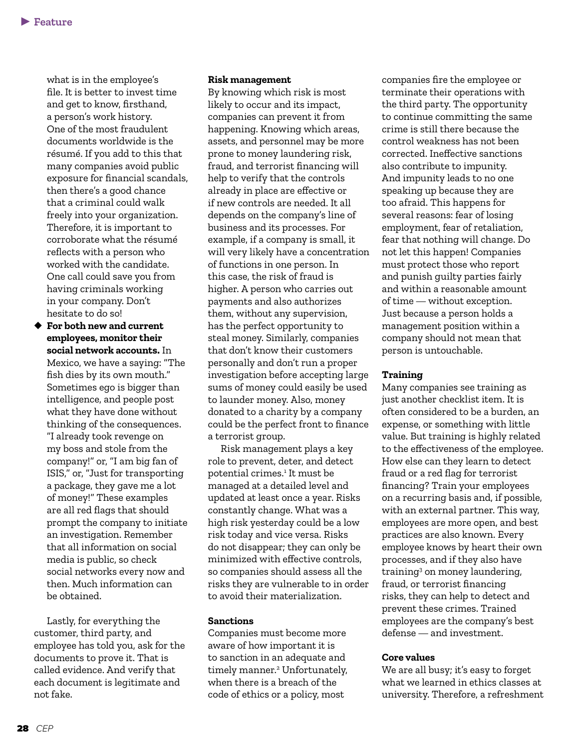what is in the employee's file. It is better to invest time and get to know, firsthand, a person's work history. One of the most fraudulent documents worldwide is the résumé. If you add to this that many companies avoid public exposure for financial scandals, then there's a good chance that a criminal could walk freely into your organization. Therefore, it is important to corroborate what the résumé reflects with a person who worked with the candidate. One call could save you from having criminals working in your company. Don't hesitate to do so!

◆ **For both new and current employees, monitor their social network accounts.** In Mexico, we have a saying: "The fish dies by its own mouth." Sometimes ego is bigger than intelligence, and people post what they have done without thinking of the consequences. "I already took revenge on my boss and stole from the company!" or, "I am big fan of ISIS," or, "Just for transporting a package, they gave me a lot of money!" These examples are all red flags that should prompt the company to initiate an investigation. Remember that all information on social media is public, so check social networks every now and then. Much information can be obtained.

Lastly, for everything the customer, third party, and employee has told you, ask for the documents to prove it. That is called evidence. And verify that each document is legitimate and not fake.

#### **Risk management**

By knowing which risk is most likely to occur and its impact, companies can prevent it from happening. Knowing which areas, assets, and personnel may be more prone to money laundering risk, fraud, and terrorist financing will help to verify that the controls already in place are effective or if new controls are needed. It all depends on the company's line of business and its processes. For example, if a company is small, it will very likely have a concentration of functions in one person. In this case, the risk of fraud is higher. A person who carries out payments and also authorizes them, without any supervision, has the perfect opportunity to steal money. Similarly, companies that don't know their customers personally and don't run a proper investigation before accepting large sums of money could easily be used to launder money. Also, money donated to a charity by a company could be the perfect front to finance a terrorist group.

Risk management plays a key role to prevent, deter, and detect potential crimes.1 It must be managed at a detailed level and updated at least once a year. Risks constantly change. What was a high risk yesterday could be a low risk today and vice versa. Risks do not disappear; they can only be minimized with effective controls, so companies should assess all the risks they are vulnerable to in order to avoid their materialization.

#### **Sanctions**

Companies must become more aware of how important it is to sanction in an adequate and timely manner.<sup>2</sup> Unfortunately, when there is a breach of the code of ethics or a policy, most

companies fire the employee or terminate their operations with the third party. The opportunity to continue committing the same crime is still there because the control weakness has not been corrected. Ineffective sanctions also contribute to impunity. And impunity leads to no one speaking up because they are too afraid. This happens for several reasons: fear of losing employment, fear of retaliation, fear that nothing will change. Do not let this happen! Companies must protect those who report and punish guilty parties fairly and within a reasonable amount of time — without exception. Just because a person holds a management position within a company should not mean that person is untouchable.

#### **Training**

Many companies see training as just another checklist item. It is often considered to be a burden, an expense, or something with little value. But training is highly related to the effectiveness of the employee. How else can they learn to detect fraud or a red flag for terrorist financing? Train your employees on a recurring basis and, if possible, with an external partner. This way, employees are more open, and best practices are also known. Every employee knows by heart their own processes, and if they also have training3 on money laundering, fraud, or terrorist financing risks, they can help to detect and prevent these crimes. Trained employees are the company's best defense — and investment.

#### **Core values**

We are all busy; it's easy to forget what we learned in ethics classes at university. Therefore, a refreshment